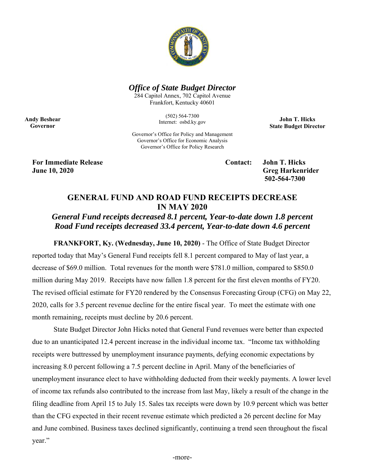

### *Office of State Budget Director*

284 Capitol Annex, 702 Capitol Avenue Frankfort, Kentucky 40601

> (502) 564-7300 Internet: osbd.ky.gov

**John T. Hicks State Budget Director** 

Governor's Office for Policy and Management Governor's Office for Economic Analysis Governor's Office for Policy Research

**For Immediate Release Contact: John T. Hicks June 10, 2020 Greg Harkenrider Greg Harkenrider Greg Harkenrider Greg Harkenrider** 

**Andy Beshear Governor** 

 **502-564-7300** 

## **GENERAL FUND AND ROAD FUND RECEIPTS DECREASE IN MAY 2020**

# *General Fund receipts decreased 8.1 percent, Year-to-date down 1.8 percent Road Fund receipts decreased 33.4 percent, Year-to-date down 4.6 percent*

**FRANKFORT, Ky. (Wednesday, June 10, 2020)** - The Office of State Budget Director reported today that May's General Fund receipts fell 8.1 percent compared to May of last year, a decrease of \$69.0 million. Total revenues for the month were \$781.0 million, compared to \$850.0 million during May 2019. Receipts have now fallen 1.8 percent for the first eleven months of FY20. The revised official estimate for FY20 rendered by the Consensus Forecasting Group (CFG) on May 22, 2020, calls for 3.5 percent revenue decline for the entire fiscal year. To meet the estimate with one month remaining, receipts must decline by 20.6 percent.

State Budget Director John Hicks noted that General Fund revenues were better than expected due to an unanticipated 12.4 percent increase in the individual income tax. "Income tax withholding receipts were buttressed by unemployment insurance payments, defying economic expectations by increasing 8.0 percent following a 7.5 percent decline in April. Many of the beneficiaries of unemployment insurance elect to have withholding deducted from their weekly payments. A lower level of income tax refunds also contributed to the increase from last May, likely a result of the change in the filing deadline from April 15 to July 15. Sales tax receipts were down by 10.9 percent which was better than the CFG expected in their recent revenue estimate which predicted a 26 percent decline for May and June combined. Business taxes declined significantly, continuing a trend seen throughout the fiscal year."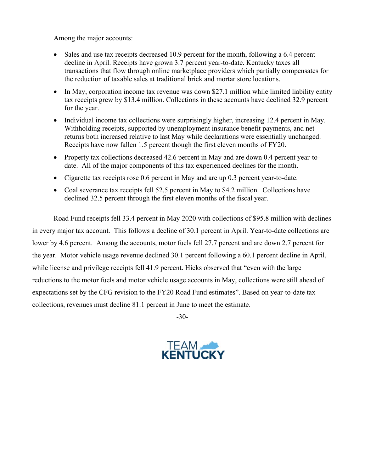Among the major accounts:

- Sales and use tax receipts decreased 10.9 percent for the month, following a 6.4 percent decline in April. Receipts have grown 3.7 percent year-to-date. Kentucky taxes all transactions that flow through online marketplace providers which partially compensates for the reduction of taxable sales at traditional brick and mortar store locations.
- In May, corporation income tax revenue was down \$27.1 million while limited liability entity tax receipts grew by \$13.4 million. Collections in these accounts have declined 32.9 percent for the year.
- Individual income tax collections were surprisingly higher, increasing 12.4 percent in May. Withholding receipts, supported by unemployment insurance benefit payments, and net returns both increased relative to last May while declarations were essentially unchanged. Receipts have now fallen 1.5 percent though the first eleven months of FY20.
- Property tax collections decreased 42.6 percent in May and are down 0.4 percent year-todate. All of the major components of this tax experienced declines for the month.
- Cigarette tax receipts rose 0.6 percent in May and are up 0.3 percent year-to-date.
- Coal severance tax receipts fell 52.5 percent in May to \$4.2 million. Collections have declined 32.5 percent through the first eleven months of the fiscal year.

Road Fund receipts fell 33.4 percent in May 2020 with collections of \$95.8 million with declines in every major tax account. This follows a decline of 30.1 percent in April. Year-to-date collections are lower by 4.6 percent. Among the accounts, motor fuels fell 27.7 percent and are down 2.7 percent for the year. Motor vehicle usage revenue declined 30.1 percent following a 60.1 percent decline in April, while license and privilege receipts fell 41.9 percent. Hicks observed that "even with the large reductions to the motor fuels and motor vehicle usage accounts in May, collections were still ahead of expectations set by the CFG revision to the FY20 Road Fund estimates". Based on year-to-date tax collections, revenues must decline 81.1 percent in June to meet the estimate.

-30-

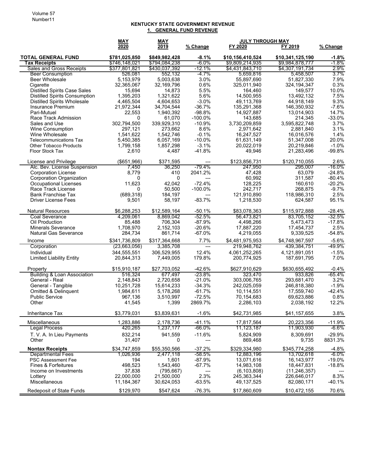#### **KENTUCKY STATE GOVERNMENT REVENUE 1. GENERAL FUND REVENUE**

|                                        | <b>MAY</b>     | MAY           |                 |                  | <b>JULY THROUGH MAY</b> |           |
|----------------------------------------|----------------|---------------|-----------------|------------------|-------------------------|-----------|
|                                        | 2020           | 2019          | <u>% Change</u> | FY 2020          | FY 2019                 | % Change  |
| <b>TOTAL GENERAL FUND</b>              | \$781,025,850  | \$849,982,428 | $-8.1%$         | \$10,156,410,524 | \$10,341,125,190        | $-1.8%$   |
| <b>Tax Receipts</b>                    | \$746,148,021  | \$794,084,238 | $-6.0\%$        | \$9,809,214,935  | \$9,984,878,777         | $-1.8%$   |
| Sales and Gross Receipts               | \$377,801,821  | \$430,037,392 | $-12.1%$        | \$4,431,843,710  | \$4,307,191,734         | 2.9%      |
| <b>Beer Consumption</b>                | 526,081        | 552,132       | -4.7%           | 5,659,816        | 5,458,507               | $3.7\%$   |
| <b>Beer Wholesale</b>                  | 5,153,979      | 5,003,638     | 3.0%            | 55,897,690       | 51,827,330              | 7.9%      |
| Cigarette                              | 32,365,067     | 32,169,796    | 0.6%            | 325,011,940      | 324, 194, 347           | 0.3%      |
| <b>Distilled Spirits Case Sales</b>    | 15,694         | 14,873        | 5.5%            | 164,460          | 149,577                 | 10.0%     |
| <b>Distilled Spirits Consumption</b>   | 1,395,203      | 1,321,622     | 5.6%            | 14,500,955       | 13,492,132              | 7.5%      |
| <b>Distilled Spirits Wholesale</b>     | 4,465,504      | 4,604,653     | $-3.0%$         | 49,113,769       | 44,918,149              | 9.3%      |
| Insurance Premium                      | 21,972,344     | 34,704,544    | $-36.7%$        | 135,291,368      | 146,350,932             | $-7.6%$   |
| Pari-Mutuel                            | 22,553         | 1,940,392     | $-98.8%$        | 14,927,887       | 13,014,903              | 14.7%     |
| <b>Race Track Admission</b>            | 0              | 61,070        | $-100.0\%$      | 143,685          | 214,345                 | $-33.0%$  |
| Sales and Use                          | 302,794,500    | 339,929,310   | $-10.9%$        | 3,730,209,859    | 3,595,822,748           | 3.7%      |
| <b>Wine Consumption</b>                | 297,121        | 273,662       | 8.6%            | 2,971,642        | 2,881,840               | 3.1%      |
| Wine Wholesale                         | 1,541,622      | 1,542,746     | $-0.1%$         | 16,247,527       | 16,016,576              | 1.4%      |
| <b>Telecommunications Tax</b>          | 5,450,385      | 6,057,169     | $-10.0%$        | 61,631,149       | 51,347,008              | 20.0%     |
| <b>Other Tobacco Products</b>          | 1,799,158      | 1,857,298     | $-3.1%$         | 20,022,019       | 20,219,846              | $-1.0%$   |
| Floor Stock Tax                        | 2,610          | 4,487         | $-41.8%$        | 49,946           | 21,283,496              | $-99.8%$  |
| License and Privilege                  | $($ \$651,966) | \$371,595     | ---             | \$123,856,731    | \$120,710,055           | 2.6%      |
| Alc. Bev. License Suspension           | 7,450          | 36,250        | $-79.4%$        | 247,950          | 295,007                 | $-16.0\%$ |
| <b>Corporation License</b>             | 8,779          | 410           | 2041.2%         | 47,428           | 63,079                  | $-24.8%$  |
| Corporation Organization               | 0              | 0             | ---             | 60,992           | 311,587                 | $-80.4%$  |
| <b>Occupational Licenses</b>           | 11,623         | 42,042        | $-72.4%$        | 128,225          | 160,610                 | $-20.2%$  |
| Race Track License                     | 0              | 50,500        | $-100.0\%$      | 242,717          | 268,875                 | $-9.7%$   |
| <b>Bank Franchise Tax</b>              | (689, 318)     | 184,197       | ---             | 121,910,890      | 118,986,310             | 2.5%      |
| <b>Driver License Fees</b>             | 9,501          | 58,197        | $-83.7%$        | 1,218,530        | 624,587                 | 95.1%     |
| <b>Natural Resources</b>               | \$6,288,253    | \$12,589,164  | $-50.1%$        | \$83,078,363     | \$115,972,888           | $-28.4%$  |
| <b>Coal Severance</b>                  | 4,209,061      | 8,869,042     | $-52.5%$        | 56,473,821       | 83,705,152              | $-32.5%$  |
| Oil Production                         | 85,488         | 706,304       | $-87.9%$        | 4,498,266        | 5,473,473               | $-17.8%$  |
| <b>Minerals Severance</b>              | 1,708,970      | 2,152,103     | $-20.6%$        | 17,887,220       | 17,454,737              | 2.5%      |
| <b>Natural Gas Severance</b>           | 284,734        | 861,714       | $-67.0%$        | 4,219,055        | 9,339,525               | $-54.8%$  |
| Income                                 | \$341,736,809  | \$317,364,668 | 7.7%            | \$4,481,975,953  | \$4,748,967,597         | $-5.6%$   |
| Corporation                            | (23,663,056)   | 3,385,708     | ---             | 219,948,762      | 439,384,751             | -49.9%    |
| Individual                             | 344,555,551    | 306,529,955   | 12.4%           | 4,061,252,265    | 4,121,891,051           | $-1.5%$   |
| <b>Limited Liability Entity</b>        | 20,844,313     | 7,449,005     | 179.8%          | 200,774,925      | 187,691,795             | 7.0%      |
| Property                               | \$15,910,187   | \$27,703,052  | $-42.6%$        | \$627,910,629    | \$630,655,492           | $-0.4%$   |
| <b>Building &amp; Loan Association</b> | 516,324        | 677,497       | -23.8%          | 323,470          | 933,826                 | -65.4%    |
| General - Real                         | 2,148,843      | 2,720,658     | $-21.0%$        | 303,006,765      | 293,681,470             | 3.2%      |
| General - Tangible                     | 10,251,728     | 15,614,233    | $-34.3%$        | 242,025,059      | 246,818,380             | $-1.9%$   |
| <b>Omitted &amp; Delinquent</b>        | 1,984,611      | 5,178,268     | $-61.7%$        | 10,114,551       | 17,559,740              | $-42.4%$  |
| <b>Public Service</b>                  | 967,136        | 3,510,997     | $-72.5%$        | 70,154,683       | 69,623,886              | 0.8%      |
| Other                                  | 41,545         | 1,399         | 2869.7%         | 2,286,103        | 2,038,192               | 12.2%     |
| Inheritance Tax                        | \$3,779,031    | \$3,839,631   | $-1.6%$         | \$42,731,985     | \$41,157,655            | 3.8%      |
| Miscellaneous                          | 1.283.886      | 2,178,736     | $-41.1%$        | 17,817,564       | 20,223,356              | $-11.9%$  |
| <b>Legal Process</b>                   | 420,265        | 1,237,177     | -66.0%          | 11,123,187       | 11,903,930              | $-6.6\%$  |
| T. V. A. In Lieu Payments              | 832,214        | 941,559       | $-11.6%$        | 5,824,909        | 8,309,691               | $-29.9%$  |
| Other                                  | 31,407         | 0             | ---             | 869,468          | 9,735                   | 8831.3%   |
| <b>Nontax Receipts</b>                 | \$34.747.859   | \$55,350,566  | $-37.2%$        | \$329,334,980    | \$345,774,258           | $-4.8%$   |
| <b>Departmental Fees</b>               | 1,026,936      | 2,477,118     | -58.5%          | 12,883,196       | 13,702,618              | -6.0%     |
| <b>PSC Assessment Fee</b>              | 194            | 1,601         | $-87.9%$        | 13,071,616       | 16, 143, 977            | $-19.0%$  |
| Fines & Forfeitures                    | 498.523        | 1,543,460     | $-67.7%$        | 14,983,108       | 18,447,831              | $-18.8%$  |
| Income on Investments                  | 37,838         | (795, 667)    | ---             | (6, 103, 808)    | (11, 246, 357)          |           |
| Lottery                                | 22,000,000     | 21.500.000    | 2.3%            | 245,363,344      | 226,646,017             | 8.3%      |
| Miscellaneous                          | 11,184,367     | 30,624,053    | $-63.5%$        | 49,137,525       | 82,080,171              | $-40.1%$  |
| Redeposit of State Funds               | \$129,970      | \$547,624     | $-76.3%$        | \$17,860,609     | \$10,472,155            | 70.6%     |